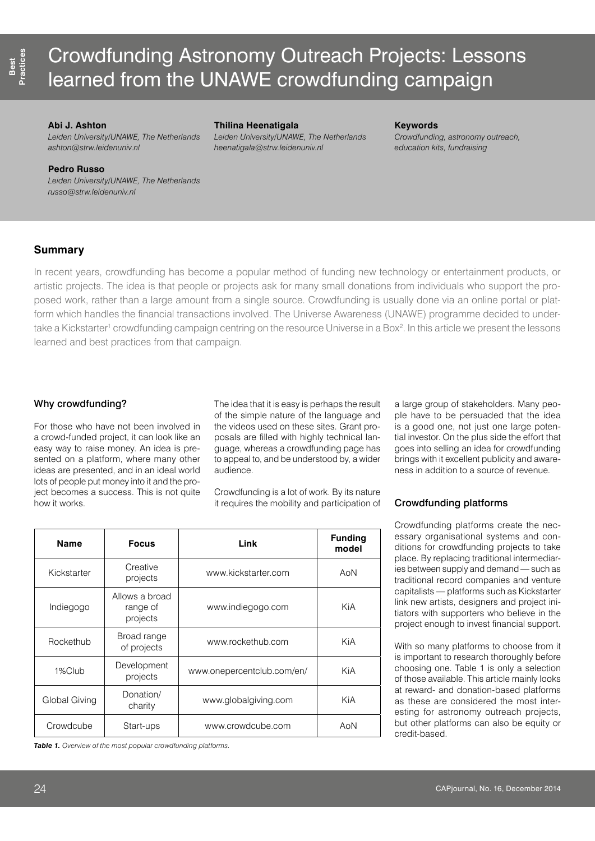# Crowdfunding Astronomy Outreach Projects: Lessons learned from the UNAWE crowdfunding campaign

## **Abi J. Ashton**

*Leiden University/UNAWE, The Netherlands [ashton@strw.leidenuniv.nl](mailto:ashton@strw.leidenuniv.nl)*

### **Thilina Heenatigala**

*Leiden University/UNAWE, The Netherlands [heenatigala@strw.leidenuniv.nl](mailto:heenatigala@strw.leidenuniv.nl)*

### **Keywords**

*Crowdfunding, astronomy outreach, education kits, fundraising* 

## **Pedro Russo**

*Leiden University/UNAWE, The Netherlands [russo@strw.leidenuniv.nl](mailto:russo@strw.leidenuniv.nl)*

# **Summary**

In recent years, crowdfunding has become a popular method of funding new technology or entertainment products, or artistic projects. The idea is that people or projects ask for many small donations from individuals who support the proposed work, rather than a large amount from a single source. Crowdfunding is usually done via an online portal or platform which handles the financial transactions involved. The Universe Awareness (UNAWE) programme decided to undertake a Kickstarter<sup>1</sup> crowdfunding campaign centring on the resource Universe in a Box<sup>2</sup>. In this article we present the lessons learned and best practices from that campaign.

# Why crowdfunding?

For those who have not been involved in a crowd-funded project, it can look like an easy way to raise money. An idea is presented on a platform, where many other ideas are presented, and in an ideal world lots of people put money into it and the project becomes a success. This is not quite how it works.

The idea that it is easy is perhaps the result of the simple nature of the language and the videos used on these sites. Grant proposals are filled with highly technical language, whereas a crowdfunding page has to appeal to, and be understood by, a wider audience.

Crowdfunding is a lot of work. By its nature it requires the mobility and participation of

| <b>Name</b>   | <b>Focus</b>                           | Link                       | <b>Funding</b><br>model |
|---------------|----------------------------------------|----------------------------|-------------------------|
| Kickstarter   | Creative<br>projects                   | www.kickstarter.com        | AoN                     |
| Indiegogo     | Allows a broad<br>range of<br>projects | www.indiegogo.com          | KiA                     |
| Rockethub     | Broad range<br>of projects             | www.rockethub.com          | KiA                     |
| 1%Club        | Development<br>projects                | www.onepercentclub.com/en/ | KiA                     |
| Global Giving | Donation/<br>charity                   | www.globalgiving.com       | KiA                     |
| Crowdcube     | Start-ups                              | www.crowdcube.com          | AoN                     |

*Table 1. Overview of the most popular crowdfunding platforms.* 

a large group of stakeholders. Many people have to be persuaded that the idea is a good one, not just one large potential investor. On the plus side the effort that goes into selling an idea for crowdfunding brings with it excellent publicity and awareness in addition to a source of revenue.

# Crowdfunding platforms

Crowdfunding platforms create the necessary organisational systems and conditions for crowdfunding projects to take place. By replacing traditional intermediaries between supply and demand — such as traditional record companies and venture capitalists — platforms such as Kickstarter link new artists, designers and project initiators with supporters who believe in the project enough to invest financial support.

With so many platforms to choose from it is important to research thoroughly before choosing one. Table 1 is only a selection of those available. This article mainly looks at reward- and donation-based platforms as these are considered the most interesting for astronomy outreach projects, but other platforms can also be equity or credit-based.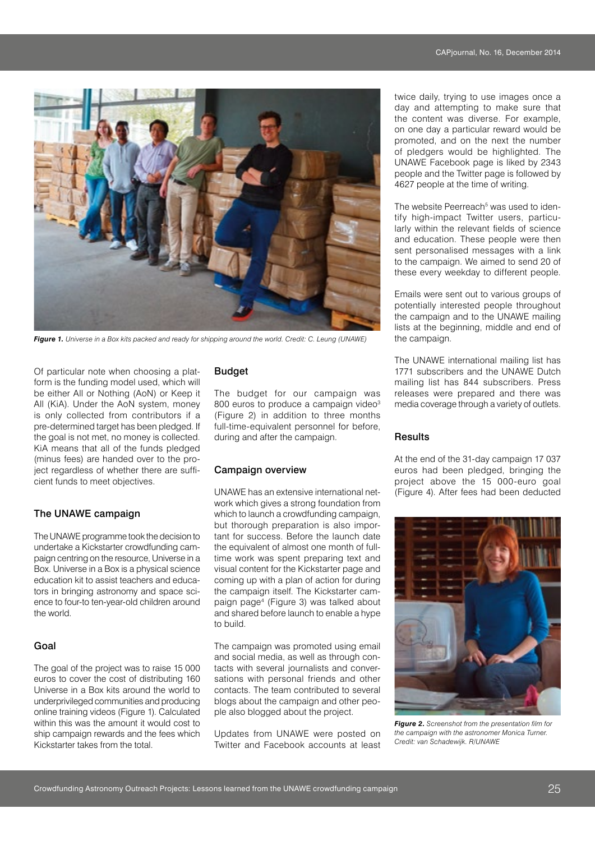

*Figure 1. Universe in a Box kits packed and ready for shipping around the world. Credit: C. Leung (UNAWE)*

Of particular note when choosing a platform is the funding model used, which will be either All or Nothing (AoN) or Keep it All (KiA). Under the AoN system, money is only collected from contributors if a pre-determined target has been pledged. If the goal is not met, no money is collected. KiA means that all of the funds pledged (minus fees) are handed over to the project regardless of whether there are sufficient funds to meet objectives.

# The UNAWE campaign

The UNAWE programme took the decision to undertake a Kickstarter crowdfunding campaign centring on the resource, Universe in a Box. Universe in a Box is a physical science education kit to assist teachers and educators in bringing astronomy and space science to four-to ten-year-old children around the world.

# Goal

The goal of the project was to raise 15 000 euros to cover the cost of distributing 160 Universe in a Box kits around the world to underprivileged communities and producing online training videos (Figure 1). Calculated within this was the amount it would cost to ship campaign rewards and the fees which Kickstarter takes from the total.

# Budget

The budget for our campaign was 800 euros to produce a campaign video<sup>3</sup> (Figure 2) in addition to three months full-time-equivalent personnel for before, during and after the campaign.

## Campaign overview

UNAWE has an extensive international network which gives a strong foundation from which to launch a crowdfunding campaign, but thorough preparation is also important for success. Before the launch date the equivalent of almost one month of fulltime work was spent preparing text and visual content for the Kickstarter page and coming up with a plan of action for during the campaign itself. The Kickstarter campaign page4 (Figure 3) was talked about and shared before launch to enable a hype to build.

The campaign was promoted using email and social media, as well as through contacts with several journalists and conversations with personal friends and other contacts. The team contributed to several blogs about the campaign and other people also blogged about the project.

Updates from UNAWE were posted on Twitter and Facebook accounts at least twice daily, trying to use images once a day and attempting to make sure that the content was diverse. For example, on one day a particular reward would be promoted, and on the next the number of pledgers would be highlighted. The UNAWE Facebook page is liked by 2343 people and the Twitter page is followed by 4627 people at the time of writing.

The website Peerreach<sup>5</sup> was used to identify high-impact Twitter users, particularly within the relevant fields of science and education. These people were then sent personalised messages with a link to the campaign. We aimed to send 20 of these every weekday to different people.

Emails were sent out to various groups of potentially interested people throughout the campaign and to the UNAWE mailing lists at the beginning, middle and end of the campaign.

The UNAWE international mailing list has 1771 subscribers and the UNAWE Dutch mailing list has 844 subscribers. Press releases were prepared and there was media coverage through a variety of outlets.

# **Results**

At the end of the 31-day campaign 17 037 euros had been pledged, bringing the project above the 15 000-euro goal (Figure 4). After fees had been deducted



*Figure 2. Screenshot from the presentation film for the campaign with the astronomer Monica Turner. Credit: van Schadewijk. R/UNAWE*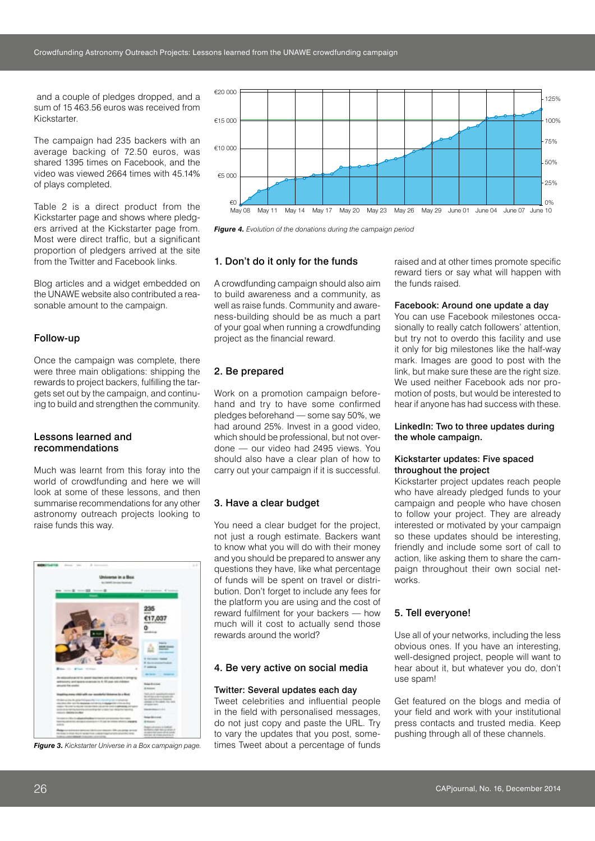and a couple of pledges dropped, and a sum of 15 463.56 euros was received from Kickstarter.

The campaign had 235 backers with an average backing of 72.50 euros, was shared 1395 times on Facebook, and the video was viewed 2664 times with 45.14% of plays completed.

Table 2 is a direct product from the Kickstarter page and shows where pledgers arrived at the Kickstarter page from. Most were direct traffic, but a significant proportion of pledgers arrived at the site from the Twitter and Facebook links.

Blog articles and a widget embedded on the UNAWE website also contributed a reasonable amount to the campaign.

## Follow-up

Once the campaign was complete, there were three main obligations: shipping the rewards to project backers, fulfilling the targets set out by the campaign, and continuing to build and strengthen the community.

## Lessons learned and recommendations

Much was learnt from this foray into the world of crowdfunding and here we will look at some of these lessons, and then summarise recommendations for any other astronomy outreach projects looking to raise funds this way.



*Figure 3. Kickstarter Universe in a Box campaign page.* 



*Figure 4. Evolution of the donations during the campaign period*

# 1. Don't do it only for the funds

A crowdfunding campaign should also aim to build awareness and a community, as well as raise funds. Community and awareness-building should be as much a part of your goal when running a crowdfunding project as the financial reward.

## 2. Be prepared

Work on a promotion campaign beforehand and try to have some confirmed pledges beforehand — some say 50%, we had around 25%. Invest in a good video, which should be professional, but not overdone — our video had 2495 views. You should also have a clear plan of how to carry out your campaign if it is successful.

#### 3. Have a clear budget

You need a clear budget for the project, not just a rough estimate. Backers want to know what you will do with their money and you should be prepared to answer any questions they have, like what percentage of funds will be spent on travel or distribution. Don't forget to include any fees for the platform you are using and the cost of reward fulfilment for your backers — how much will it cost to actually send those rewards around the world?

#### 4. Be very active on social media

#### Twitter: Several updates each day

Tweet celebrities and influential people in the field with personalised messages, do not just copy and paste the URL. Try to vary the updates that you post, sometimes Tweet about a percentage of funds raised and at other times promote specific reward tiers or say what will happen with the funds raised.

## Facebook: Around one update a day

You can use Facebook milestones occasionally to really catch followers' attention, but try not to overdo this facility and use it only for big milestones like the half-way mark. Images are good to post with the link, but make sure these are the right size. We used neither Facebook ads nor promotion of posts, but would be interested to hear if anyone has had success with these.

#### LinkedIn: Two to three updates during the whole campaign.

### Kickstarter updates: Five spaced throughout the project

Kickstarter project updates reach people who have already pledged funds to your campaign and people who have chosen to follow your project. They are already interested or motivated by your campaign so these updates should be interesting, friendly and include some sort of call to action, like asking them to share the campaign throughout their own social networks.

## 5. Tell everyone!

Use all of your networks, including the less obvious ones. If you have an interesting, well-designed project, people will want to hear about it, but whatever you do, don't use spam!

Get featured on the blogs and media of your field and work with your institutional press contacts and trusted media. Keep pushing through all of these channels.